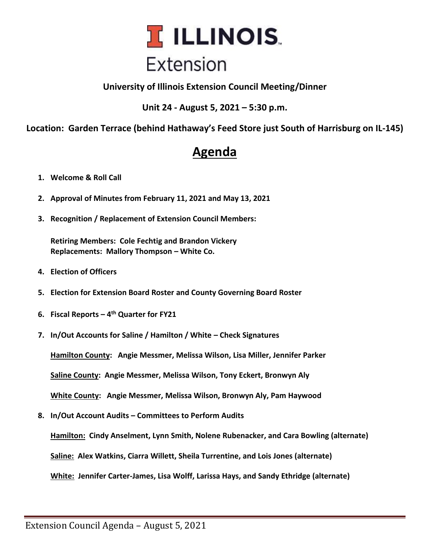

**University of Illinois Extension Council Meeting/Dinner**

**Unit 24 - August 5, 2021 – 5:30 p.m.**

**Location: Garden Terrace (behind Hathaway's Feed Store just South of Harrisburg on IL-145)** 

## **Agenda**

- **1. Welcome & Roll Call**
- **2. Approval of Minutes from February 11, 2021 and May 13, 2021**
- **3. Recognition / Replacement of Extension Council Members:**

**Retiring Members: Cole Fechtig and Brandon Vickery Replacements: Mallory Thompson – White Co.**

- **4. Election of Officers**
- **5. Election for Extension Board Roster and County Governing Board Roster**
- **6. Fiscal Reports – 4 th Quarter for FY21**
- **7. In/Out Accounts for Saline / Hamilton / White – Check Signatures**

**Hamilton County: Angie Messmer, Melissa Wilson, Lisa Miller, Jennifer Parker**

**Saline County: Angie Messmer, Melissa Wilson, Tony Eckert, Bronwyn Aly**

**White County: Angie Messmer, Melissa Wilson, Bronwyn Aly, Pam Haywood**

**8. In/Out Account Audits – Committees to Perform Audits**

**Hamilton: Cindy Anselment, Lynn Smith, Nolene Rubenacker, and Cara Bowling (alternate)**

**Saline: Alex Watkins, Ciarra Willett, Sheila Turrentine, and Lois Jones (alternate)**

**White: Jennifer Carter-James, Lisa Wolff, Larissa Hays, and Sandy Ethridge (alternate)**